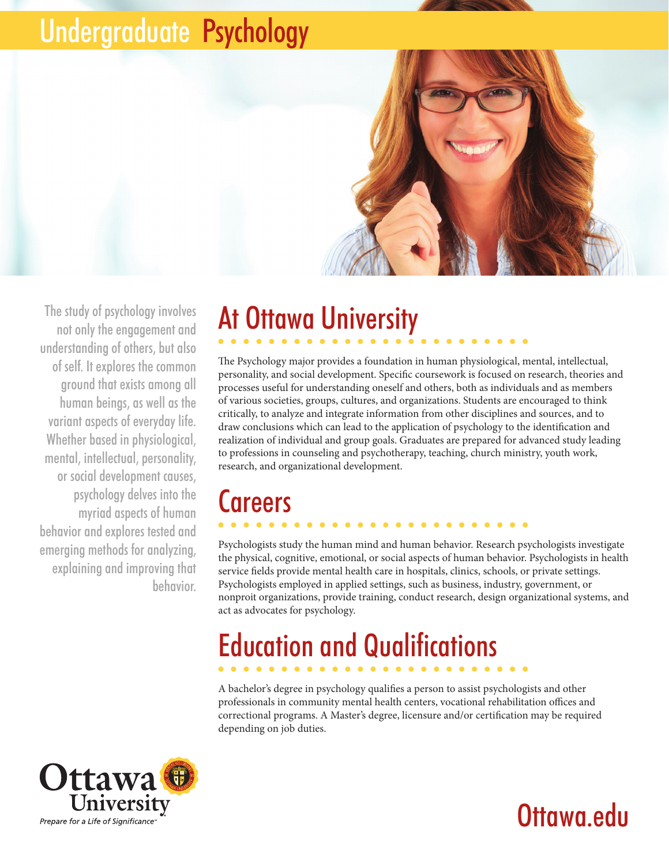## Undergraduate Psychology



The study of psychology involves not only the engagement and understanding of others, but also of self. It explores the common ground that exists among all human beings, as well as the variant aspects of everyday life. Whether based in physiological, mental, intellectual, personality, or social development causes, psychology delves into the myriad aspects of human behavior and explores tested and emerging methods for analyzing, explaining and improving that behavior.

# At Ottawa University

The Psychology major provides a foundation in human physiological, mental, intellectual, personality, and social development. Specific coursework is focused on research, theories and processes useful for understanding oneself and others, both as individuals and as members of various societies, groups, cultures, and organizations. Students are encouraged to think critically, to analyze and integrate information from other disciplines and sources, and to draw conclusions which can lead to the application of psychology to the identification and realization of individual and group goals. Graduates are prepared for advanced study leading to professions in counseling and psychotherapy, teaching, church ministry, youth work, research, and organizational development.

## **Careers**

Psychologists study the human mind and human behavior. Research psychologists investigate the physical, cognitive, emotional, or social aspects of human behavior. Psychologists in health service fields provide mental health care in hospitals, clinics, schools, or private settings. Psychologists employed in applied settings, such as business, industry, government, or nonproit organizations, provide training, conduct research, design organizational systems, and act as advocates for psychology.

# Education and Qualifications

A bachelor's degree in psychology qualifies a person to assist psychologists and other professionals in community mental health centers, vocational rehabilitation offices and correctional programs. A Master's degree, licensure and/or certification may be required depending on job duties.



## Ottawa.edu